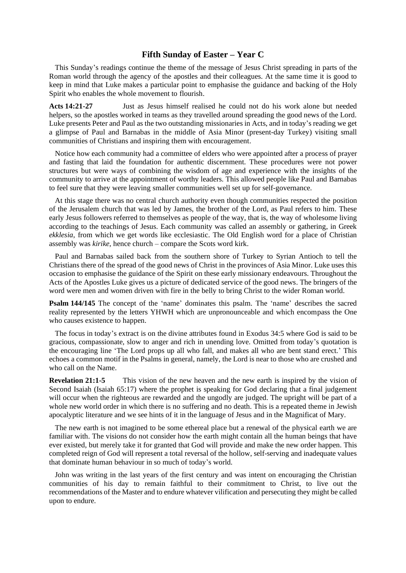## **Fifth Sunday of Easter – Year C**

This Sunday's readings continue the theme of the message of Jesus Christ spreading in parts of the Roman world through the agency of the apostles and their colleagues. At the same time it is good to keep in mind that Luke makes a particular point to emphasise the guidance and backing of the Holy Spirit who enables the whole movement to flourish.

**Acts 14:21-27** Just as Jesus himself realised he could not do his work alone but needed helpers, so the apostles worked in teams as they travelled around spreading the good news of the Lord. Luke presents Peter and Paul as the two outstanding missionaries in Acts, and in today's reading we get a glimpse of Paul and Barnabas in the middle of Asia Minor (present-day Turkey) visiting small communities of Christians and inspiring them with encouragement.

Notice how each community had a committee of elders who were appointed after a process of prayer and fasting that laid the foundation for authentic discernment. These procedures were not power structures but were ways of combining the wisdom of age and experience with the insights of the community to arrive at the appointment of worthy leaders. This allowed people like Paul and Barnabas to feel sure that they were leaving smaller communities well set up for self-governance.

At this stage there was no central church authority even though communities respected the position of the Jerusalem church that was led by James, the brother of the Lord, as Paul refers to him. These early Jesus followers referred to themselves as people of the way, that is, the way of wholesome living according to the teachings of Jesus. Each community was called an assembly or gathering, in Greek *ekklesia*, from which we get words like ecclesiastic. The Old English word for a place of Christian assembly was *kirike*, hence church – compare the Scots word kirk.

Paul and Barnabas sailed back from the southern shore of Turkey to Syrian Antioch to tell the Christians there of the spread of the good news of Christ in the provinces of Asia Minor. Luke uses this occasion to emphasise the guidance of the Spirit on these early missionary endeavours. Throughout the Acts of the Apostles Luke gives us a picture of dedicated service of the good news. The bringers of the word were men and women driven with fire in the belly to bring Christ to the wider Roman world.

**Psalm 144/145** The concept of the 'name' dominates this psalm. The 'name' describes the sacred reality represented by the letters YHWH which are unpronounceable and which encompass the One who causes existence to happen.

The focus in today's extract is on the divine attributes found in Exodus 34:5 where God is said to be gracious, compassionate, slow to anger and rich in unending love. Omitted from today's quotation is the encouraging line 'The Lord props up all who fall, and makes all who are bent stand erect.' This echoes a common motif in the Psalms in general, namely, the Lord is near to those who are crushed and who call on the Name.

**Revelation 21:1-5** This vision of the new heaven and the new earth is inspired by the vision of Second Isaiah (Isaiah 65:17) where the prophet is speaking for God declaring that a final judgement will occur when the righteous are rewarded and the ungodly are judged. The upright will be part of a whole new world order in which there is no suffering and no death. This is a repeated theme in Jewish apocalyptic literature and we see hints of it in the language of Jesus and in the Magnificat of Mary.

The new earth is not imagined to be some ethereal place but a renewal of the physical earth we are familiar with. The visions do not consider how the earth might contain all the human beings that have ever existed, but merely take it for granted that God will provide and make the new order happen. This completed reign of God will represent a total reversal of the hollow, self-serving and inadequate values that dominate human behaviour in so much of today's world.

John was writing in the last years of the first century and was intent on encouraging the Christian communities of his day to remain faithful to their commitment to Christ, to live out the recommendations of the Master and to endure whatever vilification and persecuting they might be called upon to endure.